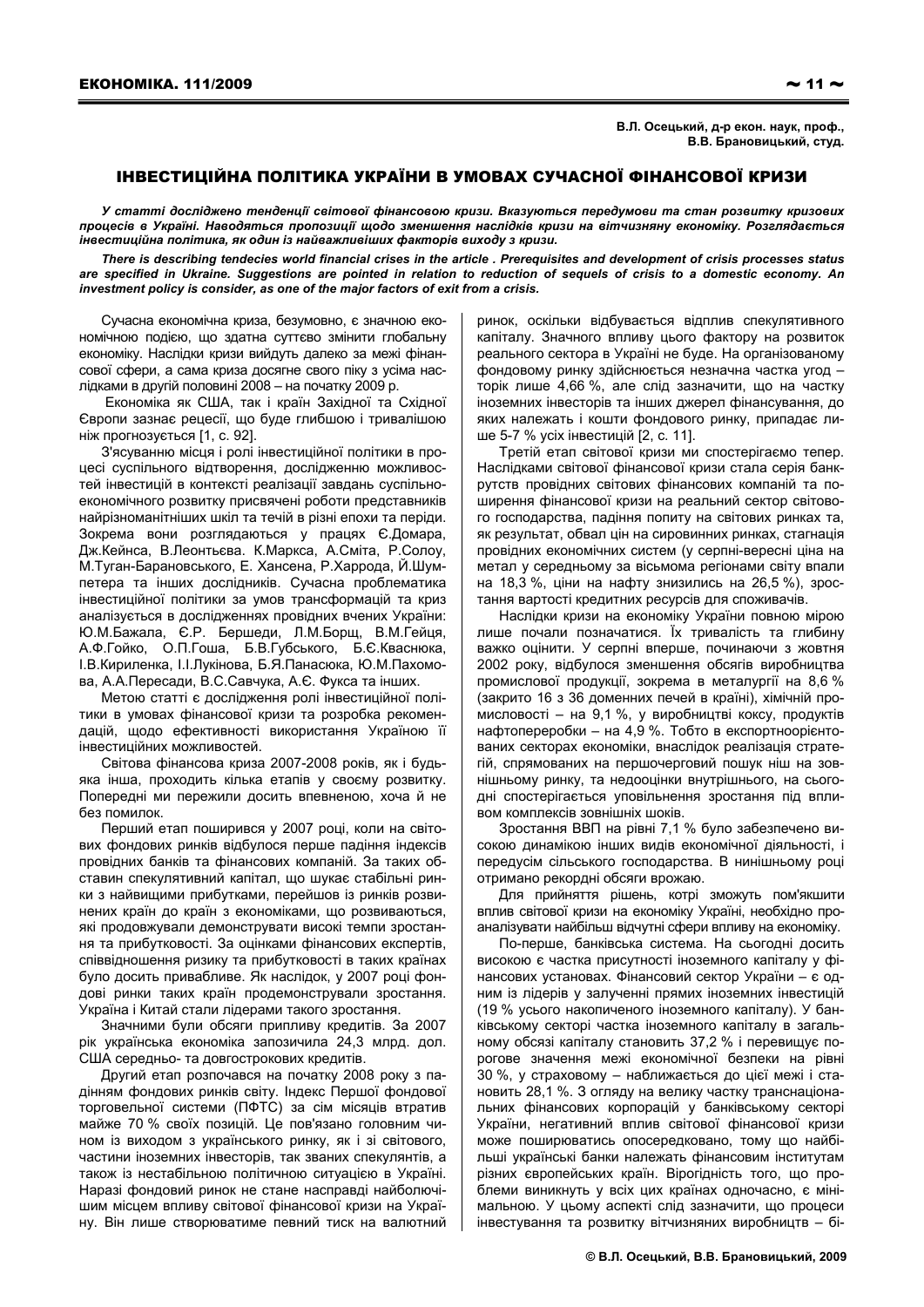В.Л. Осецький, д-р екон. наук, проф., В.В. Брановицький, студ.

## ІНВЕСТИЦІЙНА ПОЛІТИКА УКРАЇНИ В УМОВАХ СУЧАСНОЇ ФІНАНСОВОЇ КРИЗИ

У статті досліджено тенденції світової фінансовою кризи. Вказуються передумови та стан розвитку кризових процесів в Україні. Наводяться пропозиції щодо зменшення наслідків кризи на вітчизняну економіку. Розглядається інвестиційна політика, як один із найважливіших факторів виходу з кризи.

There is describing tendecies world financial crises in the article . Prerequisites and development of crisis processes status are specified in Ukraine. Suggestions are pointed in relation to reduction of sequels of crisis to a domestic economy. An investment policy is consider, as one of the major factors of exit from a crisis.

Сучасна економічна криза, безумовно, є значною економічною подією, що здатна суттєво змінити глобальну економіку. Наслідки кризи вийдуть далеко за межі фінансової сфери, а сама криза досягне свого піку з усіма наслідками в другій половині 2008 - на початку 2009 р.

Економіка як США, так і країн Західної та Східної Європи зазнає рецесії, що буде глибшою і тривалішою ніж прогнозується [1, с. 92].

З'ясуванню місця і ролі інвестиційної політики в процесі суспільного відтворення, дослідженню можливостей інвестицій в контексті реалізації завдань суспільноекономічного розвитку присвячені роботи представників найрізноманітніших шкіл та течій в різні епохи та періди. Зокрема вони розглядаються у працях Є. Домара, Дж. Кейнса, В. Леонтьєва. К. Маркса, А. Сміта, Р. Солоу, М. Туган-Барановського, Е. Хансена, Р. Харрода, Й. Шумпетера та інших дослідників. Сучасна проблематика інвестиційної політики за умов трансформацій та криз аналізується в дослідженнях провідних вчених України: Ю.М.Бажала. Є.Р. Бершеди. Л.М.Борш. В.М.Гейця. А.Ф.Гойко, О.П.Гоша, Б.В.Губського, Б.Є.Кваснюка, І.В. Кириленка, І.І. Лукінова, Б.Я. Панасюка, Ю.М. Пахомова, А.А.Пересади, В.С.Савчука, А.Є. Фукса та інших.

Метою статті є дослідження ролі інвестиційної політики в умовах фінансової кризи та розробка рекомендацій, щодо ефективності використання Україною її інвестиційних можливостей.

Світова фінансова криза 2007-2008 років, як і будьяка інша, проходить кілька етапів у своєму розвитку. Попередні ми пережили досить впевненою, хоча й не без помилок

Перший етап поширився у 2007 році, коли на світових фондових ринків відбулося перше падіння індексів провідних банків та фінансових компаній. За таких обставин спекулятивний капітал, що шукає стабільні ринки з найвищими прибутками, перейшов із ринків розвинених країн до країн з економіками, що розвиваються, які продовжували демонструвати високі темпи зростання та прибутковості. За оцінками фінансових експертів, співвідношення ризику та прибутковості в таких країнах було досить привабливе. Як наслідок, у 2007 році фондові ринки таких країн продемонстрували зростання. Україна і Китай стали лідерами такого зростання.

Значними були обсяги припливу кредитів. За 2007 рік українська економіка запозичила 24,3 млрд. дол. США середньо- та довгострокових кредитів.

Другий етап розпочався на початку 2008 року з падінням фондових ринків світу. Індекс Першої фондової торговельної системи (ПФТС) за сім місяців втратив майже 70 % своїх позицій. Це пов'язано головним чином із виходом з українського ринку, як і зі світового, частини іноземних інвесторів, так званих спекулянтів, а також із нестабільною політичною ситуацією в Україні. Наразі фондовий ринок не стане насправді найболючішим місцем впливу світової фінансової кризи на Україну. Він лише створюватиме певний тиск на валютний

ринок, оскільки відбувається відплив спекулятивного капіталу. Значного впливу цього фактору на розвиток реального сектора в Україні не буде. На організованому фондовому ринку здійснюється незначна частка угод торік лише 4,66 %, але слід зазначити, що на частку іноземних інвесторів та інших джерел фінансування, до яких належать і кошти фондового ринку, припадає лише 5-7 % усіх інвестицій [2, с, 11].

Третій етап світової кризи ми спостерігаємо тепер. Наслідками світової фінансової кризи стала серія банкрутств провідних світових фінансових компаній та поширення фінансової кризи на реальний сектор світового господарства, падіння попиту на світових ринках та, як результат, обвал цін на сировинних ринках, стагнація провідних економічних систем (у серпні-вересні ціна на метал у середньому за вісьмома регіонами світу впали на 18,3 %, ціни на нафту знизились на 26,5 %), зростання вартості кредитних ресурсів для споживачів.

Наслідки кризи на економіку України повною мірою лише почали позначатися. Їх тривалість та глибину важко оцінити. У серпні вперше, починаючи з жовтня 2002 року, відбулося зменшення обсягів виробництва промислової продукції, зокрема в металургії на 8,6 % (закрито 16 з 36 доменних печей в країні), хімічній промисловості - на 9,1 %, у виробництві коксу, продуктів нафтопереробки - на 4,9 %. Тобто в експортноорієнтованих секторах економіки, внаслідок реалізація стратегій, спрямованих на першочерговий пошук ніш на зовнішньому ринку, та недооцінки внутрішнього, на сьогодні спостерігається уповільнення зростання під впливом комплексів зовнішніх шоків.

Зростання ВВП на рівні 7,1 % було забезпечено високою динамікою інших видів економічної діяльності, і передусім сільського господарства. В нинішньому році отримано рекордні обсяги врожаю.

Для прийняття рішень, котрі зможуть пом'якшити вплив світової кризи на економіку Україні, необхідно проаналізувати найбільш відчутні сфери впливу на економіку.

По-перше, банківська система. На сьогодні досить високою є частка присутності іноземного капіталу у фінансових установах. Фінансовий сектор України - є одним із лідерів у залученні прямих іноземних інвестицій (19 % усього накопиченого іноземного капіталу). У банківському секторі частка іноземного капіталу в загальному обсязі капіталу становить 37,2 % і перевищує порогове значення межі економічної безпеки на рівні 30 %, у страховому - наближається до цієї межі і становить 28,1 %. З огляду на велику частку транснаціональних фінансових корпорацій у банківському секторі України, негативний вплив світової фінансової кризи може поширюватись опосередковано, тому що найбільші українські банки належать фінансовим інститутам різних європейських країн. Вірогідність того, що проблеми виникнуть у всіх цих країнах одночасно, є мінімальною. У цьому аспекті слід зазначити, що процеси інвестування та розвитку вітчизняних виробництв - бі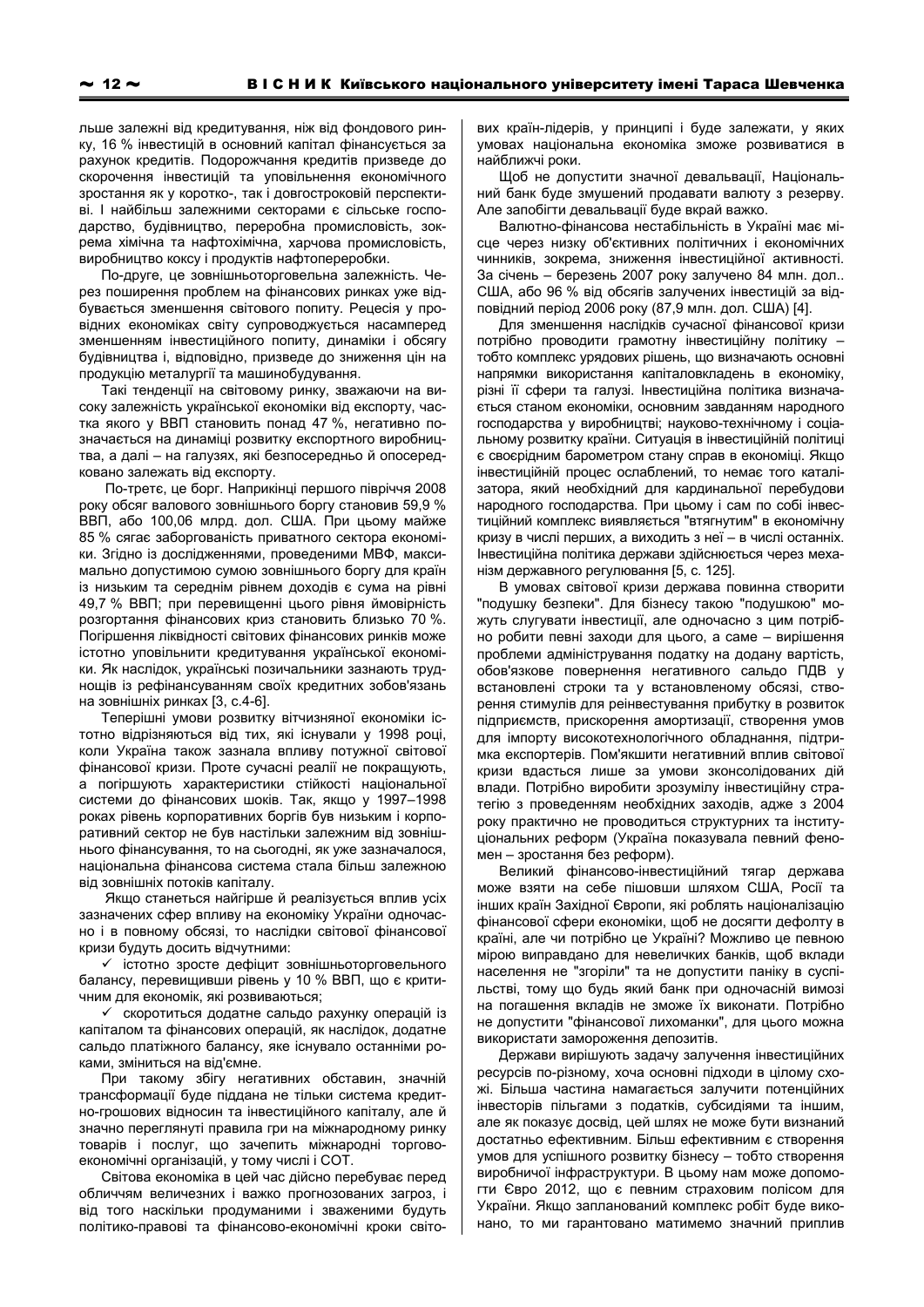льше залежні від кредитування, ніж від фондового ринку, 16 % інвестицій в основний капітал фінансується за рахунок кредитів. Подорожчання кредитів призведе до скорочення інвестицій та уповільнення економічного зростання як у коротко-, так і довгостроковій перспективі. І найбільш залежними секторами є сільське господарство, будівництво, переробна промисловість, зокрема хімічна та нафтохімічна, харчова промисловість, виробництво коксу і продуктів нафтопереробки.

По-друге, це зовнішньоторговельна залежність. Через поширення проблем на фінансових ринках уже відбувається зменшення світового попиту. Рецесія у провідних економіках світу супроводжується насамперед зменшенням інвестиційного попиту, динаміки і обсягу будівництва і, відповідно, призведе до зниження цін на продукцію металургії та машинобудування.

Такі тенденції на світовому ринку, зважаючи на високу залежність української економіки від експорту, частка якого у ВВП становить понад 47 %, негативно позначається на динаміці розвитку експортного виробництва, а далі - на галузях, які безпосередньо й опосередковано залежать від експорту.

По-третє, це борг. Наприкінці першого півріччя 2008 року обсяг валового зовнішнього боргу становив 59.9 % ВВП, або 100,06 млрд. дол. США. При цьому майже 85 % сягає заборгованість приватного сектора економіки. Згідно із дослідженнями, проведеними МВФ, максимально допустимою сумою зовнішнього боргу для країн із низьким та середнім рівнем доходів є сума на рівні 49,7 % ВВП; при перевищенні цього рівня ймовірність розгортання фінансових криз становить близько 70 %. Погіршення ліквідності світових фінансових ринків може істотно уповільнити кредитування української економіки. Як наслідок, українські позичальники зазнають труднощів із рефінансуванням своїх кредитних зобов'язань на зовнішніх ринках [3, с.4-6].

Теперішні умови розвитку вітчизняної економіки істотно відрізняються від тих, які існували у 1998 році, коли Україна також зазнала впливу потужної світової фінансової кризи. Проте сучасні реалії не покрашують. а погіршують характеристики стійкості національної системи до фінансових шоків. Так, якщо у 1997-1998 роках рівень корпоративних боргів був низьким і корпоративний сектор не був настільки залежним від зовнішнього фінансування, то на сьогодні, як уже зазначалося, національна фінансова система стала більш залежною від зовнішніх потоків капіталу.

Якщо станеться найгірше й реалізується вплив усіх зазначених сфер впливу на економіку України одночасно і в повному обсязі, то наслідки світової фінансової кризи будуть досить відчутними:

√ істотно зросте дефіцит зовнішньоторговельного балансу, перевищивши рівень у 10 % ВВП, що є критичним для економік, які розвиваються;

√ скоротиться додатне сальдо рахунку операцій із капіталом та фінансових операцій, як наслідок, додатне сальдо платіжного балансу, яке існувало останніми роками, зміниться на від'ємне.

При такому збігу негативних обставин, значній трансформації буде піддана не тільки система кредитно-грошових відносин та інвестиційного капіталу, але й значно переглянуті правила гри на міжнародному ринку товарів і послуг, що зачепить міжнародні торговоекономічні організацій, у тому числі і СОТ.

Світова економіка в цей час дійсно перебуває перед обличчям величезних і важко прогнозованих загроз, і від того наскільки продуманими і зваженими будуть політико-правові та фінансово-економічні кроки світових країн-лідерів, у принципі і буде залежати, у яких умовах національна економіка зможе розвиватися в найближчі роки.

Щоб не допустити значної девальвації, Національний банк буде змушений продавати валюту з резерву. Але запобігти девальвації буде вкрай важко.

Валютно-фінансова нестабільність в Україні має місце через низку об'єктивних політичних і економічних чинників, зокрема, зниження інвестиційної активності. За січень - березень 2007 року залучено 84 млн. дол.. США, або 96 % від обсягів залучених інвестицій за відповідний період 2006 року (87,9 млн. дол. США) [4].

Для зменшення наслідків сучасної фінансової кризи потрібно проводити грамотну інвестиційну політику тобто комплекс урядових рішень, що визначають основні напрямки використання капіталовкладень в економіку. різні її сфери та галузі. Інвестиційна політика визначається станом економіки, основним завданням народного господарства у виробництві; науково-технічному і соціальному розвитку країни. Ситуація в інвестиційній політиці є своєрідним барометром стану справ в економіці. Якщо інвестиційній процес ослаблений, то немає того каталізатора, який необхідний для кардинальної перебудови народного господарства. При цьому і сам по собі інвестиційний комплекс виявляється "втягнутим" в економічну кризу в числі перших, а виходить з неї - в числі останніх. Інвестиційна політика держави здійснюється через механізм державного регулювання [5, с. 125].

В умовах світової кризи держава повинна створити "подушку безпеки". Для бізнесу такою "подушкою" можуть слугувати інвестиції, але одночасно з цим потрібно робити певні заходи для цього, а саме - вирішення проблеми адміністрування податку на додану вартість, обов'язкове повернення негативного сальдо ПДВ у встановлені строки та у встановленому обсязі, створення стимулів для реінвестування прибутку в розвиток підприємств, прискорення амортизації, створення умов для імпорту високотехнологічного обладнання, підтримка експортерів. Пом'якшити негативний вплив світової кризи вдасться лише за умови зконсолідованих дій влади. Потрібно виробити зрозумілу інвестиційну стратегію з проведенням необхідних заходів, адже з 2004 року практично не проводиться структурних та інституціональних реформ (Україна показувала певний феномен - зростання без реформ).

Великий фінансово-інвестиційний тягар держава може взяти на себе пішовши шляхом США, Росії та інших країн Західної Європи, які роблять націоналізацію фінансової сфери економіки, щоб не досягти дефолту в країні, але чи потрібно це Україні? Можливо це певною мірою виправдано для невеличких банків, щоб вклади населення не "згоріли" та не допустити паніку в суспільстві, тому що будь який банк при одночасній вимозі на погашення вкладів не зможе їх виконати. Потрібно не допустити "фінансової лихоманки", для цього можна використати замороження депозитів.

Держави вирішують задачу залучення інвестиційних ресурсів по-різному, хоча основні підходи в цілому схожі. Більша частина намагається залучити потенційних інвесторів пільгами з податків, субсидіями та іншим, але як показує досвід, цей шлях не може бути визнаний достатньо ефективним. Більш ефективним є створення умов для успішного розвитку бізнесу - тобто створення виробничої інфраструктури. В цьому нам може допомогти Євро 2012, що є певним страховим полісом для України. Якщо запланований комплекс робіт буде виконано, то ми гарантовано матимемо значний приплив